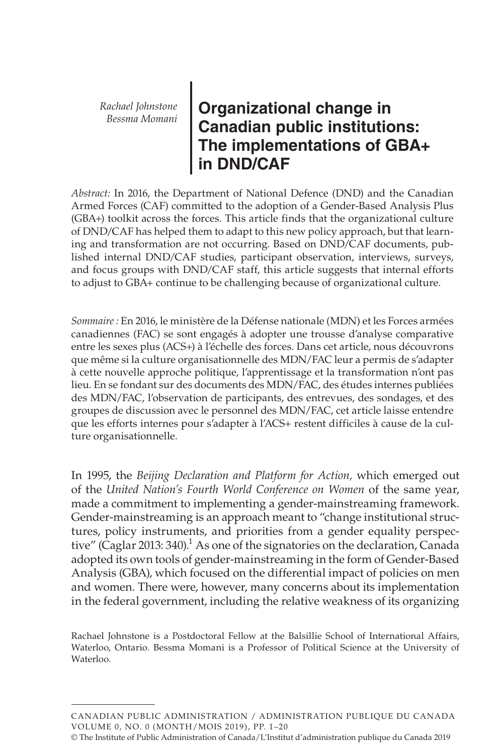*Rachael Johnstone Bessma Momani*

# **Organizational change in Canadian public institutions: The implementations of GBA+ in DND/CAF**

*Abstract:* In 2016, the Department of National Defence (DND) and the Canadian Armed Forces (CAF) committed to the adoption of a Gender-Based Analysis Plus (GBA+) toolkit across the forces. This article finds that the organizational culture of DND/CAF has helped them to adapt to this new policy approach, but that learning and transformation are not occurring. Based on DND/CAF documents, published internal DND/CAF studies, participant observation, interviews, surveys, and focus groups with DND/CAF staff, this article suggests that internal efforts to adjust to GBA+ continue to be challenging because of organizational culture.

*Sommaire :* En 2016, le ministère de la Défense nationale (MDN) et les Forces armées canadiennes (FAC) se sont engagés à adopter une trousse d'analyse comparative entre les sexes plus (ACS+) à l'échelle des forces. Dans cet article, nous découvrons que même si la culture organisationnelle des MDN/FAC leur a permis de s'adapter à cette nouvelle approche politique, l'apprentissage et la transformation n'ont pas lieu. En se fondant sur des documents des MDN/FAC, des études internes publiées des MDN/FAC, l'observation de participants, des entrevues, des sondages, et des groupes de discussion avec le personnel des MDN/FAC, cet article laisse entendre que les efforts internes pour s'adapter à l'ACS+ restent difficiles à cause de la culture organisationnelle.

In 1995, the *Beijing Declaration and Platform for Action,* which emerged out of the *United Nation's Fourth World Conference on Women* of the same year, made a commitment to implementing a gender-mainstreaming framework. Gender-mainstreaming is an approach meant to "change institutional structures, policy instruments, and priorities from a gender equality perspective" (Caglar 2013: 340).<sup>1</sup> As one of the signatories on the declaration, Canada adopted its own tools of gender-mainstreaming in the form of Gender-Based Analysis (GBA), which focused on the differential impact of policies on men and women. There were, however, many concerns about its implementation in the federal government, including the relative weakness of its organizing

Rachael Johnstone is a Postdoctoral Fellow at the Balsillie School of International Affairs, Waterloo, Ontario. Bessma Momani is a Professor of Political Science at the University of Waterloo.

CANADIAN PUBLIC ADMINISTRATION / ADMINISTRATION PUBLIQUE DU CANADA VOLUME 0, NO. 0 (MONTH/MOIS 2019), PP. 1–20

<sup>©</sup> The Institute of Public Administration of Canada/L'Institut d'administration publique du Canada 2019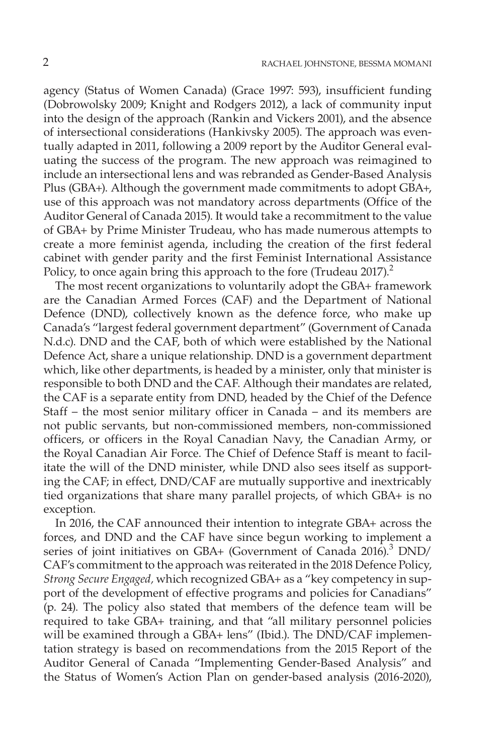agency (Status of Women Canada) (Grace 1997: 593), insufficient funding (Dobrowolsky 2009; Knight and Rodgers 2012), a lack of community input into the design of the approach (Rankin and Vickers 2001), and the absence of intersectional considerations (Hankivsky 2005). The approach was eventually adapted in 2011, following a 2009 report by the Auditor General evaluating the success of the program. The new approach was reimagined to include an intersectional lens and was rebranded as Gender-Based Analysis Plus (GBA+). Although the government made commitments to adopt GBA+, use of this approach was not mandatory across departments (Office of the Auditor General of Canada 2015). It would take a recommitment to the value of GBA+ by Prime Minister Trudeau, who has made numerous attempts to create a more feminist agenda, including the creation of the first federal cabinet with gender parity and the first Feminist International Assistance Policy, to once again bring this approach to the fore (Trudeau 2017).<sup>2</sup>

The most recent organizations to voluntarily adopt the GBA+ framework are the Canadian Armed Forces (CAF) and the Department of National Defence (DND), collectively known as the defence force, who make up Canada's "largest federal government department" (Government of Canada N.d.c). DND and the CAF, both of which were established by the National Defence Act, share a unique relationship. DND is a government department which, like other departments, is headed by a minister, only that minister is responsible to both DND and the CAF. Although their mandates are related, the CAF is a separate entity from DND, headed by the Chief of the Defence Staff – the most senior military officer in Canada – and its members are not public servants, but non-commissioned members, non-commissioned officers, or officers in the Royal Canadian Navy, the Canadian Army, or the Royal Canadian Air Force. The Chief of Defence Staff is meant to facilitate the will of the DND minister, while DND also sees itself as supporting the CAF; in effect, DND/CAF are mutually supportive and inextricably tied organizations that share many parallel projects, of which GBA+ is no exception.

In 2016, the CAF announced their intention to integrate GBA+ across the forces, and DND and the CAF have since begun working to implement a series of joint initiatives on GBA+ (Government of Canada 2016).<sup>3</sup> DND/ CAF's commitment to the approach was reiterated in the 2018 Defence Policy, *Strong Secure Engaged,* which recognized GBA+ as a "key competency in support of the development of effective programs and policies for Canadians" (p. 24). The policy also stated that members of the defence team will be required to take GBA+ training, and that "all military personnel policies will be examined through a GBA+ lens" (Ibid.). The DND/CAF implementation strategy is based on recommendations from the 2015 Report of the Auditor General of Canada "Implementing Gender-Based Analysis" and the Status of Women's Action Plan on gender-based analysis (2016-2020),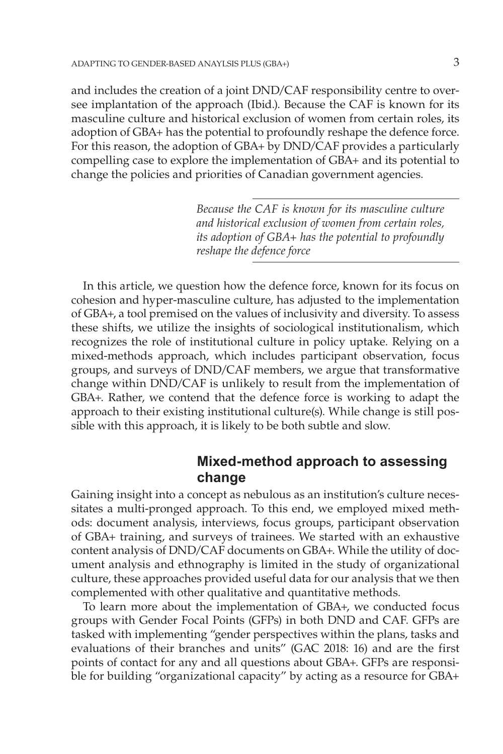and includes the creation of a joint DND/CAF responsibility centre to oversee implantation of the approach (Ibid.). Because the CAF is known for its masculine culture and historical exclusion of women from certain roles, its adoption of GBA+ has the potential to profoundly reshape the defence force. For this reason, the adoption of GBA+ by DND/CAF provides a particularly compelling case to explore the implementation of GBA+ and its potential to change the policies and priorities of Canadian government agencies.

> *Because the CAF is known for its masculine culture and historical exclusion of women from certain roles, its adoption of GBA+ has the potential to profoundly reshape the defence force*

In this article, we question how the defence force, known for its focus on cohesion and hyper-masculine culture, has adjusted to the implementation of GBA+, a tool premised on the values of inclusivity and diversity. To assess these shifts, we utilize the insights of sociological institutionalism, which recognizes the role of institutional culture in policy uptake. Relying on a mixed-methods approach, which includes participant observation, focus groups, and surveys of DND/CAF members, we argue that transformative change within DND/CAF is unlikely to result from the implementation of GBA+. Rather, we contend that the defence force is working to adapt the approach to their existing institutional culture(s). While change is still possible with this approach, it is likely to be both subtle and slow.

## **Mixed-method approach to assessing change**

Gaining insight into a concept as nebulous as an institution's culture necessitates a multi-pronged approach. To this end, we employed mixed methods: document analysis, interviews, focus groups, participant observation of GBA+ training, and surveys of trainees. We started with an exhaustive content analysis of DND/CAF documents on GBA+. While the utility of document analysis and ethnography is limited in the study of organizational culture, these approaches provided useful data for our analysis that we then complemented with other qualitative and quantitative methods.

To learn more about the implementation of GBA+, we conducted focus groups with Gender Focal Points (GFPs) in both DND and CAF. GFPs are tasked with implementing "gender perspectives within the plans, tasks and evaluations of their branches and units" (GAC 2018: 16) and are the first points of contact for any and all questions about GBA+. GFPs are responsible for building "organizational capacity" by acting as a resource for GBA+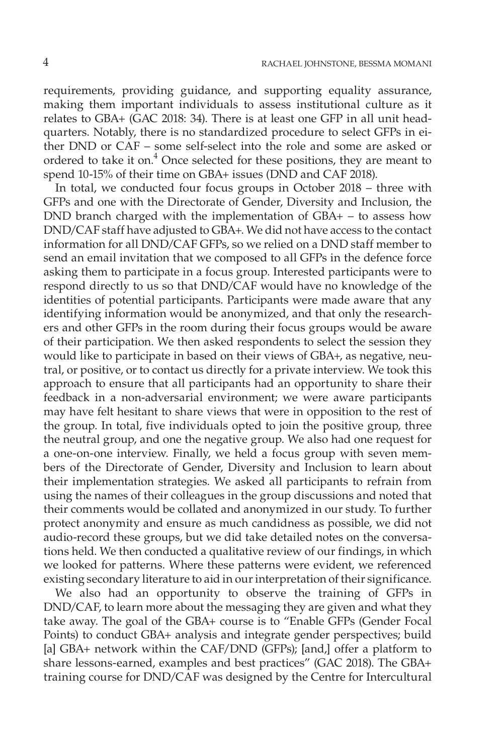requirements, providing guidance, and supporting equality assurance, making them important individuals to assess institutional culture as it relates to GBA+ (GAC 2018: 34). There is at least one GFP in all unit headquarters. Notably, there is no standardized procedure to select GFPs in either DND or CAF – some self-select into the role and some are asked or ordered to take it on. $4$  Once selected for these positions, they are meant to spend 10-15% of their time on GBA+ issues (DND and CAF 2018).

In total, we conducted four focus groups in October 2018 – three with GFPs and one with the Directorate of Gender, Diversity and Inclusion, the DND branch charged with the implementation of GBA+ – to assess how DND/CAF staff have adjusted to GBA+. We did not have access to the contact information for all DND/CAF GFPs, so we relied on a DND staff member to send an email invitation that we composed to all GFPs in the defence force asking them to participate in a focus group. Interested participants were to respond directly to us so that DND/CAF would have no knowledge of the identities of potential participants. Participants were made aware that any identifying information would be anonymized, and that only the researchers and other GFPs in the room during their focus groups would be aware of their participation. We then asked respondents to select the session they would like to participate in based on their views of GBA+, as negative, neutral, or positive, or to contact us directly for a private interview. We took this approach to ensure that all participants had an opportunity to share their feedback in a non-adversarial environment; we were aware participants may have felt hesitant to share views that were in opposition to the rest of the group. In total, five individuals opted to join the positive group, three the neutral group, and one the negative group. We also had one request for a one-on-one interview. Finally, we held a focus group with seven members of the Directorate of Gender, Diversity and Inclusion to learn about their implementation strategies. We asked all participants to refrain from using the names of their colleagues in the group discussions and noted that their comments would be collated and anonymized in our study. To further protect anonymity and ensure as much candidness as possible, we did not audio-record these groups, but we did take detailed notes on the conversations held. We then conducted a qualitative review of our findings, in which we looked for patterns. Where these patterns were evident, we referenced existing secondary literature to aid in our interpretation of their significance.

We also had an opportunity to observe the training of GFPs in DND/CAF, to learn more about the messaging they are given and what they take away. The goal of the GBA+ course is to "Enable GFPs (Gender Focal Points) to conduct GBA+ analysis and integrate gender perspectives; build [a] GBA+ network within the CAF/DND (GFPs); [and,] offer a platform to share lessons-earned, examples and best practices" (GAC 2018). The GBA+ training course for DND/CAF was designed by the Centre for Intercultural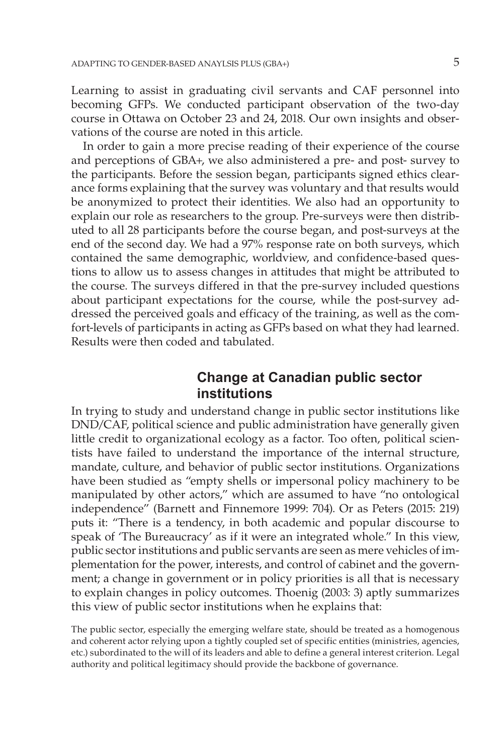Learning to assist in graduating civil servants and CAF personnel into becoming GFPs. We conducted participant observation of the two-day course in Ottawa on October 23 and 24, 2018. Our own insights and observations of the course are noted in this article.

In order to gain a more precise reading of their experience of the course and perceptions of GBA+, we also administered a pre- and post- survey to the participants. Before the session began, participants signed ethics clearance forms explaining that the survey was voluntary and that results would be anonymized to protect their identities. We also had an opportunity to explain our role as researchers to the group. Pre-surveys were then distributed to all 28 participants before the course began, and post-surveys at the end of the second day. We had a 97% response rate on both surveys, which contained the same demographic, worldview, and confidence-based questions to allow us to assess changes in attitudes that might be attributed to the course. The surveys differed in that the pre-survey included questions about participant expectations for the course, while the post-survey addressed the perceived goals and efficacy of the training, as well as the comfort-levels of participants in acting as GFPs based on what they had learned. Results were then coded and tabulated.

## **Change at Canadian public sector institutions**

In trying to study and understand change in public sector institutions like DND/CAF, political science and public administration have generally given little credit to organizational ecology as a factor. Too often, political scientists have failed to understand the importance of the internal structure, mandate, culture, and behavior of public sector institutions. Organizations have been studied as "empty shells or impersonal policy machinery to be manipulated by other actors," which are assumed to have "no ontological independence" (Barnett and Finnemore 1999: 704). Or as Peters (2015: 219) puts it: "There is a tendency, in both academic and popular discourse to speak of 'The Bureaucracy' as if it were an integrated whole." In this view, public sector institutions and public servants are seen as mere vehicles of implementation for the power, interests, and control of cabinet and the government; a change in government or in policy priorities is all that is necessary to explain changes in policy outcomes. Thoenig (2003: 3) aptly summarizes this view of public sector institutions when he explains that:

The public sector, especially the emerging welfare state, should be treated as a homogenous and coherent actor relying upon a tightly coupled set of specific entities (ministries, agencies, etc.) subordinated to the will of its leaders and able to define a general interest criterion. Legal authority and political legitimacy should provide the backbone of governance.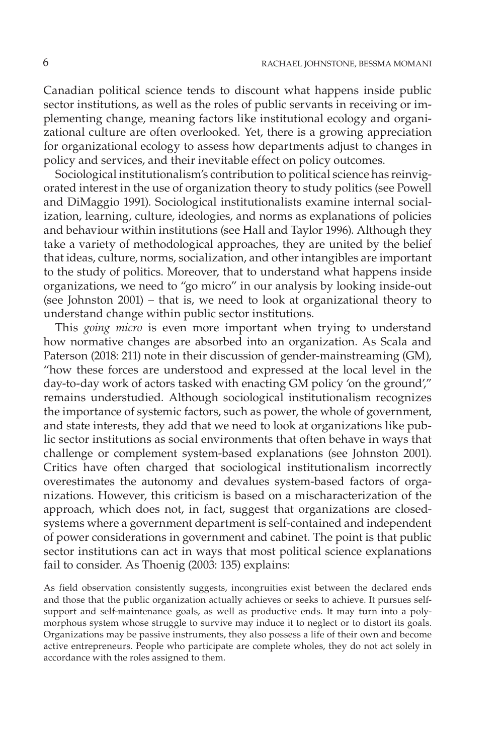Canadian political science tends to discount what happens inside public sector institutions, as well as the roles of public servants in receiving or implementing change, meaning factors like institutional ecology and organizational culture are often overlooked. Yet, there is a growing appreciation for organizational ecology to assess how departments adjust to changes in policy and services, and their inevitable effect on policy outcomes.

Sociological institutionalism's contribution to political science has reinvigorated interest in the use of organization theory to study politics (see Powell and DiMaggio 1991). Sociological institutionalists examine internal socialization, learning, culture, ideologies, and norms as explanations of policies and behaviour within institutions (see Hall and Taylor 1996). Although they take a variety of methodological approaches, they are united by the belief that ideas, culture, norms, socialization, and other intangibles are important to the study of politics. Moreover, that to understand what happens inside organizations, we need to "go micro" in our analysis by looking inside-out (see Johnston 2001) – that is, we need to look at organizational theory to understand change within public sector institutions.

This *going micro* is even more important when trying to understand how normative changes are absorbed into an organization. As Scala and Paterson (2018: 211) note in their discussion of gender-mainstreaming (GM), "how these forces are understood and expressed at the local level in the day-to-day work of actors tasked with enacting GM policy 'on the ground'," remains understudied. Although sociological institutionalism recognizes the importance of systemic factors, such as power, the whole of government, and state interests, they add that we need to look at organizations like public sector institutions as social environments that often behave in ways that challenge or complement system-based explanations (see Johnston 2001). Critics have often charged that sociological institutionalism incorrectly overestimates the autonomy and devalues system-based factors of organizations. However, this criticism is based on a mischaracterization of the approach, which does not, in fact, suggest that organizations are closedsystems where a government department is self-contained and independent of power considerations in government and cabinet. The point is that public sector institutions can act in ways that most political science explanations fail to consider. As Thoenig (2003: 135) explains:

As field observation consistently suggests, incongruities exist between the declared ends and those that the public organization actually achieves or seeks to achieve. It pursues selfsupport and self-maintenance goals, as well as productive ends. It may turn into a polymorphous system whose struggle to survive may induce it to neglect or to distort its goals. Organizations may be passive instruments, they also possess a life of their own and become active entrepreneurs. People who participate are complete wholes, they do not act solely in accordance with the roles assigned to them.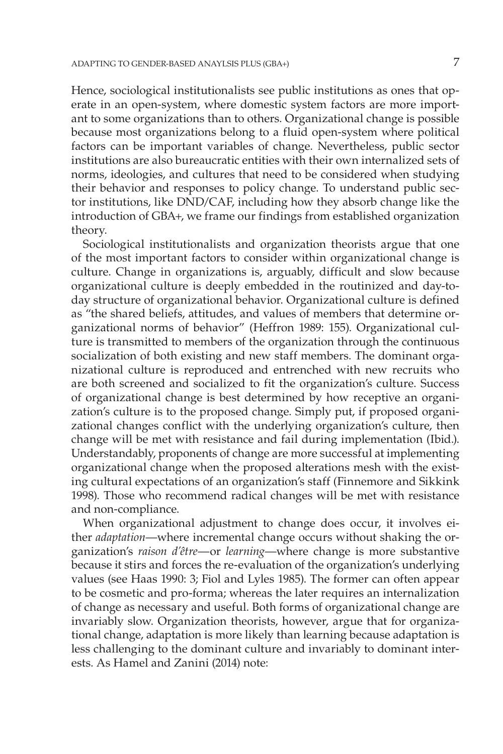Hence, sociological institutionalists see public institutions as ones that operate in an open-system, where domestic system factors are more important to some organizations than to others. Organizational change is possible because most organizations belong to a fluid open-system where political factors can be important variables of change. Nevertheless, public sector institutions are also bureaucratic entities with their own internalized sets of norms, ideologies, and cultures that need to be considered when studying their behavior and responses to policy change. To understand public sector institutions, like DND/CAF, including how they absorb change like the introduction of GBA+, we frame our findings from established organization theory.

Sociological institutionalists and organization theorists argue that one of the most important factors to consider within organizational change is culture. Change in organizations is, arguably, difficult and slow because organizational culture is deeply embedded in the routinized and day-today structure of organizational behavior. Organizational culture is defined as "the shared beliefs, attitudes, and values of members that determine organizational norms of behavior" (Heffron 1989: 155). Organizational culture is transmitted to members of the organization through the continuous socialization of both existing and new staff members. The dominant organizational culture is reproduced and entrenched with new recruits who are both screened and socialized to fit the organization's culture. Success of organizational change is best determined by how receptive an organization's culture is to the proposed change. Simply put, if proposed organizational changes conflict with the underlying organization's culture, then change will be met with resistance and fail during implementation (Ibid.). Understandably, proponents of change are more successful at implementing organizational change when the proposed alterations mesh with the existing cultural expectations of an organization's staff (Finnemore and Sikkink 1998). Those who recommend radical changes will be met with resistance and non-compliance.

When organizational adjustment to change does occur, it involves either *adaptation*—where incremental change occurs without shaking the organization's *raison d'être*—or *learning*—where change is more substantive because it stirs and forces the re-evaluation of the organization's underlying values (see Haas 1990: 3; Fiol and Lyles 1985). The former can often appear to be cosmetic and pro-forma; whereas the later requires an internalization of change as necessary and useful. Both forms of organizational change are invariably slow. Organization theorists, however, argue that for organizational change, adaptation is more likely than learning because adaptation is less challenging to the dominant culture and invariably to dominant interests. As Hamel and Zanini (2014) note: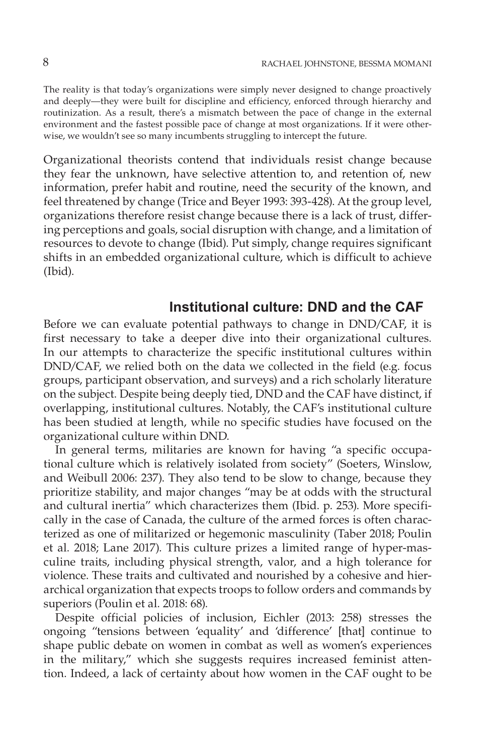The reality is that today's organizations were simply never designed to change proactively and deeply—they were built for discipline and efficiency, enforced through hierarchy and routinization. As a result, there's a mismatch between the pace of change in the external environment and the fastest possible pace of change at most organizations. If it were otherwise, we wouldn't see so many incumbents struggling to intercept the future.

Organizational theorists contend that individuals resist change because they fear the unknown, have selective attention to, and retention of, new information, prefer habit and routine, need the security of the known, and feel threatened by change (Trice and Beyer 1993: 393-428). At the group level, organizations therefore resist change because there is a lack of trust, differing perceptions and goals, social disruption with change, and a limitation of resources to devote to change (Ibid). Put simply, change requires significant shifts in an embedded organizational culture, which is difficult to achieve (Ibid).

## **Institutional culture: DND and the CAF**

Before we can evaluate potential pathways to change in DND/CAF, it is first necessary to take a deeper dive into their organizational cultures. In our attempts to characterize the specific institutional cultures within DND/CAF, we relied both on the data we collected in the field (e.g. focus groups, participant observation, and surveys) and a rich scholarly literature on the subject. Despite being deeply tied, DND and the CAF have distinct, if overlapping, institutional cultures. Notably, the CAF's institutional culture has been studied at length, while no specific studies have focused on the organizational culture within DND.

In general terms, militaries are known for having "a specific occupational culture which is relatively isolated from society" (Soeters, Winslow, and Weibull 2006: 237). They also tend to be slow to change, because they prioritize stability, and major changes "may be at odds with the structural and cultural inertia" which characterizes them (Ibid. p. 253). More specifically in the case of Canada, the culture of the armed forces is often characterized as one of militarized or hegemonic masculinity (Taber 2018; Poulin et al. 2018; Lane 2017). This culture prizes a limited range of hyper-masculine traits, including physical strength, valor, and a high tolerance for violence. These traits and cultivated and nourished by a cohesive and hierarchical organization that expects troops to follow orders and commands by superiors (Poulin et al. 2018: 68).

Despite official policies of inclusion, Eichler (2013: 258) stresses the ongoing "tensions between 'equality' and 'difference' [that] continue to shape public debate on women in combat as well as women's experiences in the military," which she suggests requires increased feminist attention. Indeed, a lack of certainty about how women in the CAF ought to be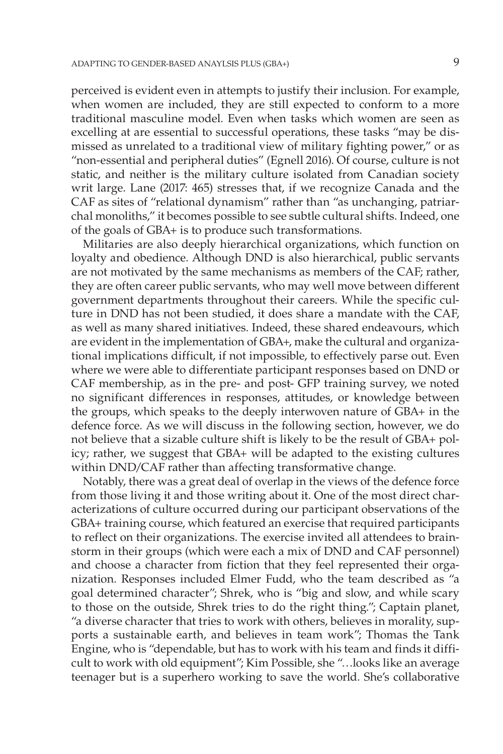perceived is evident even in attempts to justify their inclusion. For example, when women are included, they are still expected to conform to a more traditional masculine model. Even when tasks which women are seen as excelling at are essential to successful operations, these tasks "may be dismissed as unrelated to a traditional view of military fighting power," or as "non-essential and peripheral duties" (Egnell 2016). Of course, culture is not static, and neither is the military culture isolated from Canadian society writ large. Lane (2017: 465) stresses that, if we recognize Canada and the CAF as sites of "relational dynamism" rather than "as unchanging, patriarchal monoliths," it becomes possible to see subtle cultural shifts. Indeed, one of the goals of GBA+ is to produce such transformations.

Militaries are also deeply hierarchical organizations, which function on loyalty and obedience. Although DND is also hierarchical, public servants are not motivated by the same mechanisms as members of the CAF; rather, they are often career public servants, who may well move between different government departments throughout their careers. While the specific culture in DND has not been studied, it does share a mandate with the CAF, as well as many shared initiatives. Indeed, these shared endeavours, which are evident in the implementation of GBA+, make the cultural and organizational implications difficult, if not impossible, to effectively parse out. Even where we were able to differentiate participant responses based on DND or CAF membership, as in the pre- and post- GFP training survey, we noted no significant differences in responses, attitudes, or knowledge between the groups, which speaks to the deeply interwoven nature of GBA+ in the defence force. As we will discuss in the following section, however, we do not believe that a sizable culture shift is likely to be the result of GBA+ policy; rather, we suggest that GBA+ will be adapted to the existing cultures within DND/CAF rather than affecting transformative change.

Notably, there was a great deal of overlap in the views of the defence force from those living it and those writing about it. One of the most direct characterizations of culture occurred during our participant observations of the GBA+ training course, which featured an exercise that required participants to reflect on their organizations. The exercise invited all attendees to brainstorm in their groups (which were each a mix of DND and CAF personnel) and choose a character from fiction that they feel represented their organization. Responses included Elmer Fudd, who the team described as "a goal determined character"; Shrek, who is "big and slow, and while scary to those on the outside, Shrek tries to do the right thing."; Captain planet, "a diverse character that tries to work with others, believes in morality, supports a sustainable earth, and believes in team work"; Thomas the Tank Engine, who is "dependable, but has to work with his team and finds it difficult to work with old equipment"; Kim Possible, she "…looks like an average teenager but is a superhero working to save the world. She's collaborative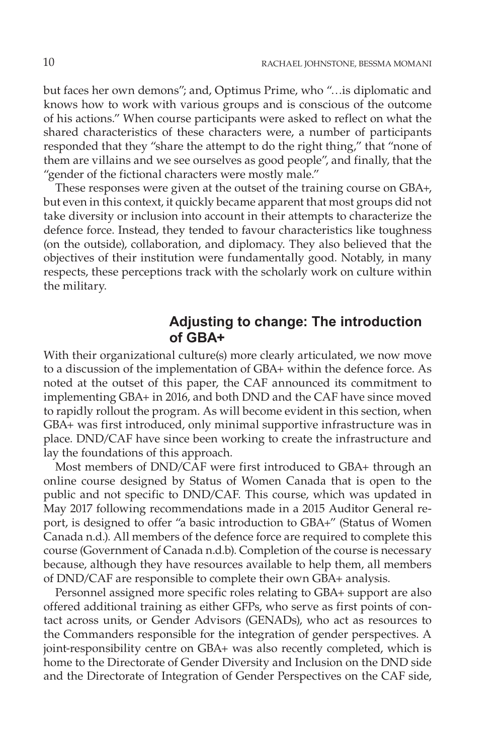but faces her own demons"; and, Optimus Prime, who "…is diplomatic and knows how to work with various groups and is conscious of the outcome of his actions." When course participants were asked to reflect on what the shared characteristics of these characters were, a number of participants responded that they "share the attempt to do the right thing," that "none of them are villains and we see ourselves as good people", and finally, that the "gender of the fictional characters were mostly male."

These responses were given at the outset of the training course on GBA+, but even in this context, it quickly became apparent that most groups did not take diversity or inclusion into account in their attempts to characterize the defence force. Instead, they tended to favour characteristics like toughness (on the outside), collaboration, and diplomacy. They also believed that the objectives of their institution were fundamentally good. Notably, in many respects, these perceptions track with the scholarly work on culture within the military.

#### **Adjusting to change: The introduction of GBA+**

With their organizational culture(s) more clearly articulated, we now move to a discussion of the implementation of GBA+ within the defence force. As noted at the outset of this paper, the CAF announced its commitment to implementing GBA+ in 2016, and both DND and the CAF have since moved to rapidly rollout the program. As will become evident in this section, when GBA+ was first introduced, only minimal supportive infrastructure was in place. DND/CAF have since been working to create the infrastructure and lay the foundations of this approach.

Most members of DND/CAF were first introduced to GBA+ through an online course designed by Status of Women Canada that is open to the public and not specific to DND/CAF. This course, which was updated in May 2017 following recommendations made in a 2015 Auditor General report, is designed to offer "a basic introduction to GBA+" (Status of Women Canada n.d.). All members of the defence force are required to complete this course (Government of Canada n.d.b). Completion of the course is necessary because, although they have resources available to help them, all members of DND/CAF are responsible to complete their own GBA+ analysis.

Personnel assigned more specific roles relating to GBA+ support are also offered additional training as either GFPs, who serve as first points of contact across units, or Gender Advisors (GENADs), who act as resources to the Commanders responsible for the integration of gender perspectives. A joint-responsibility centre on GBA+ was also recently completed, which is home to the Directorate of Gender Diversity and Inclusion on the DND side and the Directorate of Integration of Gender Perspectives on the CAF side,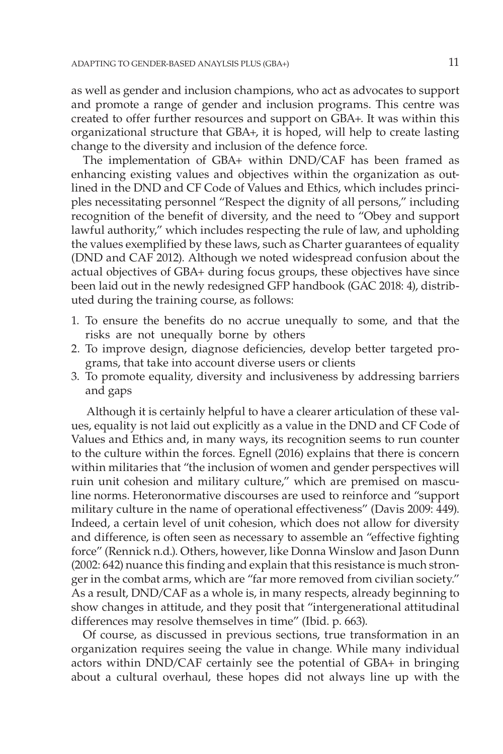as well as gender and inclusion champions, who act as advocates to support and promote a range of gender and inclusion programs. This centre was created to offer further resources and support on GBA+. It was within this organizational structure that GBA+, it is hoped, will help to create lasting change to the diversity and inclusion of the defence force.

The implementation of GBA+ within DND/CAF has been framed as enhancing existing values and objectives within the organization as outlined in the DND and CF Code of Values and Ethics, which includes principles necessitating personnel "Respect the dignity of all persons," including recognition of the benefit of diversity, and the need to "Obey and support lawful authority," which includes respecting the rule of law, and upholding the values exemplified by these laws, such as Charter guarantees of equality (DND and CAF 2012). Although we noted widespread confusion about the actual objectives of GBA+ during focus groups, these objectives have since been laid out in the newly redesigned GFP handbook (GAC 2018: 4), distributed during the training course, as follows:

- 1. To ensure the benefits do no accrue unequally to some, and that the risks are not unequally borne by others
- 2. To improve design, diagnose deficiencies, develop better targeted programs, that take into account diverse users or clients
- 3. To promote equality, diversity and inclusiveness by addressing barriers and gaps

Although it is certainly helpful to have a clearer articulation of these values, equality is not laid out explicitly as a value in the DND and CF Code of Values and Ethics and, in many ways, its recognition seems to run counter to the culture within the forces. Egnell (2016) explains that there is concern within militaries that "the inclusion of women and gender perspectives will ruin unit cohesion and military culture," which are premised on masculine norms. Heteronormative discourses are used to reinforce and "support military culture in the name of operational effectiveness" (Davis 2009: 449). Indeed, a certain level of unit cohesion, which does not allow for diversity and difference, is often seen as necessary to assemble an "effective fighting force" (Rennick n.d.). Others, however, like Donna Winslow and Jason Dunn (2002: 642) nuance this finding and explain that this resistance is much stronger in the combat arms, which are "far more removed from civilian society." As a result, DND/CAF as a whole is, in many respects, already beginning to show changes in attitude, and they posit that "intergenerational attitudinal differences may resolve themselves in time" (Ibid. p. 663).

Of course, as discussed in previous sections, true transformation in an organization requires seeing the value in change. While many individual actors within DND/CAF certainly see the potential of GBA+ in bringing about a cultural overhaul, these hopes did not always line up with the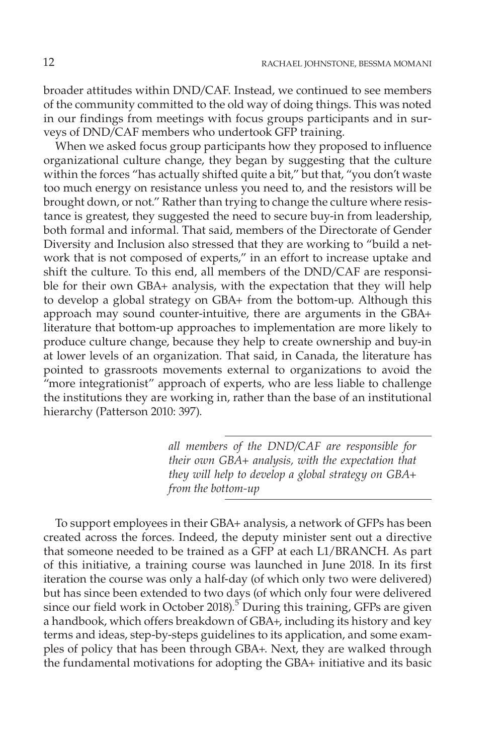broader attitudes within DND/CAF. Instead, we continued to see members of the community committed to the old way of doing things. This was noted in our findings from meetings with focus groups participants and in surveys of DND/CAF members who undertook GFP training.

When we asked focus group participants how they proposed to influence organizational culture change, they began by suggesting that the culture within the forces "has actually shifted quite a bit," but that, "you don't waste too much energy on resistance unless you need to, and the resistors will be brought down, or not." Rather than trying to change the culture where resistance is greatest, they suggested the need to secure buy-in from leadership, both formal and informal. That said, members of the Directorate of Gender Diversity and Inclusion also stressed that they are working to "build a network that is not composed of experts," in an effort to increase uptake and shift the culture. To this end, all members of the DND/CAF are responsible for their own GBA+ analysis, with the expectation that they will help to develop a global strategy on GBA+ from the bottom-up. Although this approach may sound counter-intuitive, there are arguments in the GBA+ literature that bottom-up approaches to implementation are more likely to produce culture change, because they help to create ownership and buy-in at lower levels of an organization. That said, in Canada, the literature has pointed to grassroots movements external to organizations to avoid the "more integrationist" approach of experts, who are less liable to challenge the institutions they are working in, rather than the base of an institutional hierarchy (Patterson 2010: 397).

> *all members of the DND/CAF are responsible for their own GBA+ analysis, with the expectation that they will help to develop a global strategy on GBA+ from the bottom-up*

To support employees in their GBA+ analysis, a network of GFPs has been created across the forces. Indeed, the deputy minister sent out a directive that someone needed to be trained as a GFP at each L1/BRANCH. As part of this initiative, a training course was launched in June 2018. In its first iteration the course was only a half-day (of which only two were delivered) but has since been extended to two days (of which only four were delivered since our field work in October 2018).<sup>5</sup> During this training, GFPs are given a handbook, which offers breakdown of GBA+, including its history and key terms and ideas, step-by-steps guidelines to its application, and some examples of policy that has been through GBA+. Next, they are walked through the fundamental motivations for adopting the GBA+ initiative and its basic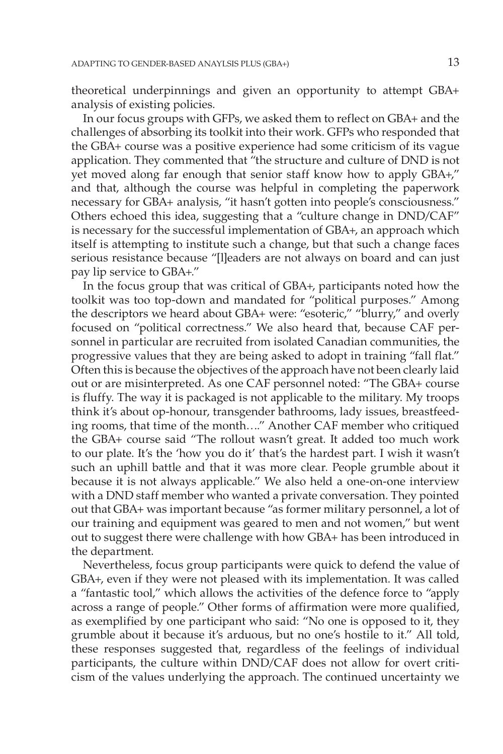theoretical underpinnings and given an opportunity to attempt GBA+ analysis of existing policies.

In our focus groups with GFPs, we asked them to reflect on GBA+ and the challenges of absorbing its toolkit into their work. GFPs who responded that the GBA+ course was a positive experience had some criticism of its vague application. They commented that "the structure and culture of DND is not yet moved along far enough that senior staff know how to apply GBA+," and that, although the course was helpful in completing the paperwork necessary for GBA+ analysis, "it hasn't gotten into people's consciousness." Others echoed this idea, suggesting that a "culture change in DND/CAF" is necessary for the successful implementation of GBA+, an approach which itself is attempting to institute such a change, but that such a change faces serious resistance because "[l]eaders are not always on board and can just pay lip service to GBA+."

In the focus group that was critical of GBA+, participants noted how the toolkit was too top-down and mandated for "political purposes." Among the descriptors we heard about GBA+ were: "esoteric," "blurry," and overly focused on "political correctness." We also heard that, because CAF personnel in particular are recruited from isolated Canadian communities, the progressive values that they are being asked to adopt in training "fall flat." Often this is because the objectives of the approach have not been clearly laid out or are misinterpreted. As one CAF personnel noted: "The GBA+ course is fluffy. The way it is packaged is not applicable to the military. My troops think it's about op-honour, transgender bathrooms, lady issues, breastfeeding rooms, that time of the month…." Another CAF member who critiqued the GBA+ course said "The rollout wasn't great. It added too much work to our plate. It's the 'how you do it' that's the hardest part. I wish it wasn't such an uphill battle and that it was more clear. People grumble about it because it is not always applicable." We also held a one-on-one interview with a DND staff member who wanted a private conversation. They pointed out that GBA+ was important because "as former military personnel, a lot of our training and equipment was geared to men and not women," but went out to suggest there were challenge with how GBA+ has been introduced in the department.

Nevertheless, focus group participants were quick to defend the value of GBA+, even if they were not pleased with its implementation. It was called a "fantastic tool," which allows the activities of the defence force to "apply across a range of people." Other forms of affirmation were more qualified, as exemplified by one participant who said: "No one is opposed to it, they grumble about it because it's arduous, but no one's hostile to it." All told, these responses suggested that, regardless of the feelings of individual participants, the culture within DND/CAF does not allow for overt criticism of the values underlying the approach. The continued uncertainty we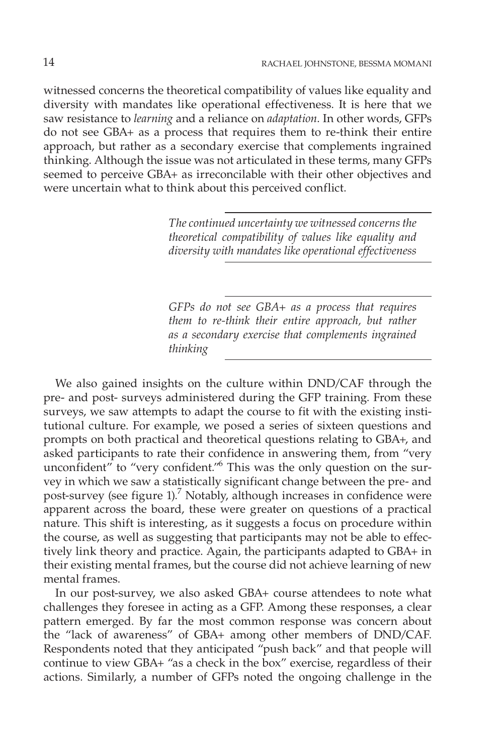witnessed concerns the theoretical compatibility of values like equality and diversity with mandates like operational effectiveness. It is here that we saw resistance to *learning* and a reliance on *adaptation*. In other words, GFPs do not see GBA+ as a process that requires them to re-think their entire approach, but rather as a secondary exercise that complements ingrained thinking. Although the issue was not articulated in these terms, many GFPs seemed to perceive GBA+ as irreconcilable with their other objectives and were uncertain what to think about this perceived conflict.

> *The continued uncertainty we witnessed concerns the theoretical compatibility of values like equality and diversity with mandates like operational effectiveness*

> *GFPs do not see GBA+ as a process that requires them to re-think their entire approach, but rather as a secondary exercise that complements ingrained thinking*

We also gained insights on the culture within DND/CAF through the pre- and post- surveys administered during the GFP training. From these surveys, we saw attempts to adapt the course to fit with the existing institutional culture. For example, we posed a series of sixteen questions and prompts on both practical and theoretical questions relating to GBA+, and asked participants to rate their confidence in answering them, from "very unconfident" to "very confident."<sup>6</sup> This was the only question on the survey in which we saw a statistically significant change between the pre- and post-survey (see figure 1).<sup>7</sup> Notably, although increases in confidence were apparent across the board, these were greater on questions of a practical nature. This shift is interesting, as it suggests a focus on procedure within the course, as well as suggesting that participants may not be able to effectively link theory and practice. Again, the participants adapted to GBA+ in their existing mental frames, but the course did not achieve learning of new mental frames.

In our post-survey, we also asked GBA+ course attendees to note what challenges they foresee in acting as a GFP. Among these responses, a clear pattern emerged. By far the most common response was concern about the "lack of awareness" of GBA+ among other members of DND/CAF. Respondents noted that they anticipated "push back" and that people will continue to view GBA+ "as a check in the box" exercise, regardless of their actions. Similarly, a number of GFPs noted the ongoing challenge in the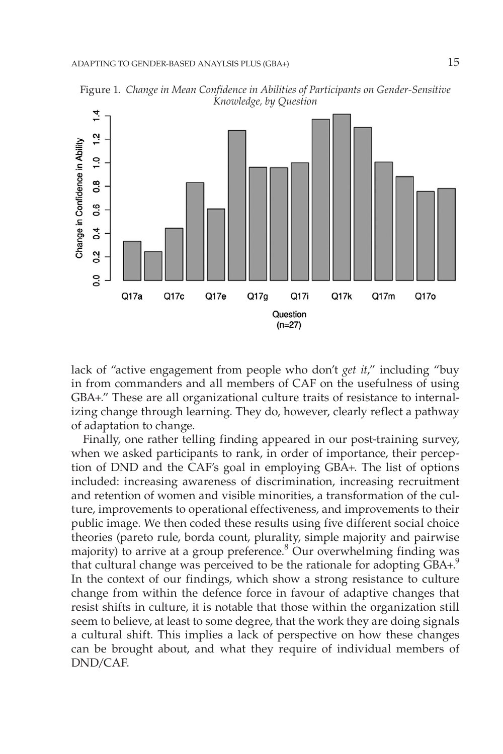

Figure 1. *Change in Mean Confidence in Abilities of Participants on Gender-Sensitive Knowledge, by Question*

lack of "active engagement from people who don't *get it*," including "buy in from commanders and all members of CAF on the usefulness of using GBA+." These are all organizational culture traits of resistance to internalizing change through learning. They do, however, clearly reflect a pathway of adaptation to change.

Finally, one rather telling finding appeared in our post-training survey, when we asked participants to rank, in order of importance, their perception of DND and the CAF's goal in employing GBA+. The list of options included: increasing awareness of discrimination, increasing recruitment and retention of women and visible minorities, a transformation of the culture, improvements to operational effectiveness, and improvements to their public image. We then coded these results using five different social choice theories (pareto rule, borda count, plurality, simple majority and pairwise majority) to arrive at a group preference.<sup>8</sup> Our overwhelming finding was that cultural change was perceived to be the rationale for adopting GBA+.<sup>9</sup> In the context of our findings, which show a strong resistance to culture change from within the defence force in favour of adaptive changes that resist shifts in culture, it is notable that those within the organization still seem to believe, at least to some degree, that the work they are doing signals a cultural shift. This implies a lack of perspective on how these changes can be brought about, and what they require of individual members of DND/CAF.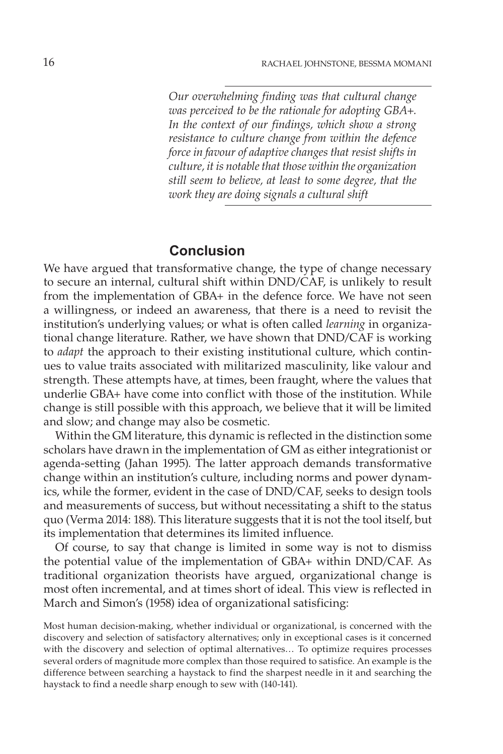*Our overwhelming finding was that cultural change was perceived to be the rationale for adopting GBA+. In the context of our findings, which show a strong resistance to culture change from within the defence force in favour of adaptive changes that resist shifts in culture, it is notable that those within the organization still seem to believe, at least to some degree, that the work they are doing signals a cultural shift*

#### **Conclusion**

We have argued that transformative change, the type of change necessary to secure an internal, cultural shift within DND/CAF, is unlikely to result from the implementation of GBA+ in the defence force. We have not seen a willingness, or indeed an awareness, that there is a need to revisit the institution's underlying values; or what is often called *learning* in organizational change literature. Rather, we have shown that DND/CAF is working to *adapt* the approach to their existing institutional culture, which continues to value traits associated with militarized masculinity, like valour and strength. These attempts have, at times, been fraught, where the values that underlie GBA+ have come into conflict with those of the institution. While change is still possible with this approach, we believe that it will be limited and slow; and change may also be cosmetic.

Within the GM literature, this dynamic is reflected in the distinction some scholars have drawn in the implementation of GM as either integrationist or agenda-setting (Jahan 1995). The latter approach demands transformative change within an institution's culture, including norms and power dynamics, while the former, evident in the case of DND/CAF, seeks to design tools and measurements of success, but without necessitating a shift to the status quo (Verma 2014: 188). This literature suggests that it is not the tool itself, but its implementation that determines its limited influence.

Of course, to say that change is limited in some way is not to dismiss the potential value of the implementation of GBA+ within DND/CAF. As traditional organization theorists have argued, organizational change is most often incremental, and at times short of ideal. This view is reflected in March and Simon's (1958) idea of organizational satisficing:

Most human decision-making, whether individual or organizational, is concerned with the discovery and selection of satisfactory alternatives; only in exceptional cases is it concerned with the discovery and selection of optimal alternatives… To optimize requires processes several orders of magnitude more complex than those required to satisfice. An example is the difference between searching a haystack to find the sharpest needle in it and searching the haystack to find a needle sharp enough to sew with (140-141).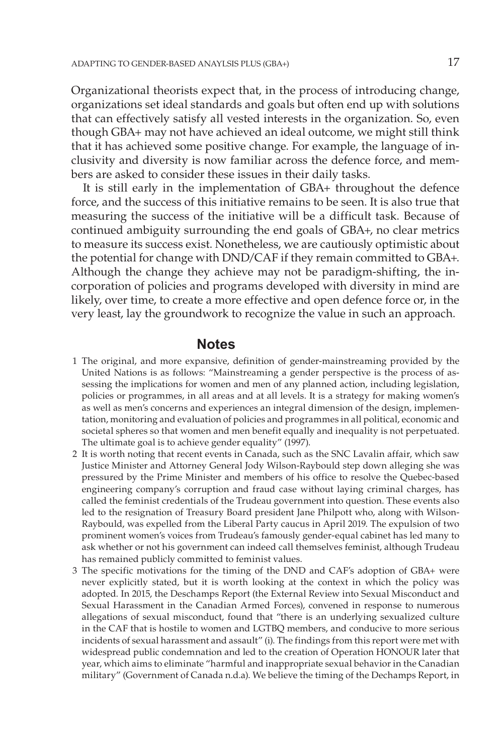Organizational theorists expect that, in the process of introducing change, organizations set ideal standards and goals but often end up with solutions that can effectively satisfy all vested interests in the organization. So, even though GBA+ may not have achieved an ideal outcome, we might still think that it has achieved some positive change. For example, the language of inclusivity and diversity is now familiar across the defence force, and members are asked to consider these issues in their daily tasks.

It is still early in the implementation of GBA+ throughout the defence force, and the success of this initiative remains to be seen. It is also true that measuring the success of the initiative will be a difficult task. Because of continued ambiguity surrounding the end goals of GBA+, no clear metrics to measure its success exist. Nonetheless, we are cautiously optimistic about the potential for change with DND/CAF if they remain committed to GBA+. Although the change they achieve may not be paradigm-shifting, the incorporation of policies and programs developed with diversity in mind are likely, over time, to create a more effective and open defence force or, in the very least, lay the groundwork to recognize the value in such an approach.

#### **Notes**

- 1 The original, and more expansive, definition of gender-mainstreaming provided by the United Nations is as follows: "Mainstreaming a gender perspective is the process of assessing the implications for women and men of any planned action, including legislation, policies or programmes, in all areas and at all levels. It is a strategy for making women's as well as men's concerns and experiences an integral dimension of the design, implementation, monitoring and evaluation of policies and programmes in all political, economic and societal spheres so that women and men benefit equally and inequality is not perpetuated. The ultimate goal is to achieve gender equality" (1997).
- 2 It is worth noting that recent events in Canada, such as the SNC Lavalin affair, which saw Justice Minister and Attorney General Jody Wilson-Raybould step down alleging she was pressured by the Prime Minister and members of his office to resolve the Quebec-based engineering company's corruption and fraud case without laying criminal charges, has called the feminist credentials of the Trudeau government into question. These events also led to the resignation of Treasury Board president Jane Philpott who, along with Wilson-Raybould, was expelled from the Liberal Party caucus in April 2019. The expulsion of two prominent women's voices from Trudeau's famously gender-equal cabinet has led many to ask whether or not his government can indeed call themselves feminist, although Trudeau has remained publicly committed to feminist values.
- 3 The specific motivations for the timing of the DND and CAF's adoption of GBA+ were never explicitly stated, but it is worth looking at the context in which the policy was adopted. In 2015, the Deschamps Report (the External Review into Sexual Misconduct and Sexual Harassment in the Canadian Armed Forces), convened in response to numerous allegations of sexual misconduct, found that "there is an underlying sexualized culture in the CAF that is hostile to women and LGTBQ members, and conducive to more serious incidents of sexual harassment and assault" (i). The findings from this report were met with widespread public condemnation and led to the creation of Operation HONOUR later that year, which aims to eliminate "harmful and inappropriate sexual behavior in the Canadian military" (Government of Canada n.d.a). We believe the timing of the Dechamps Report, in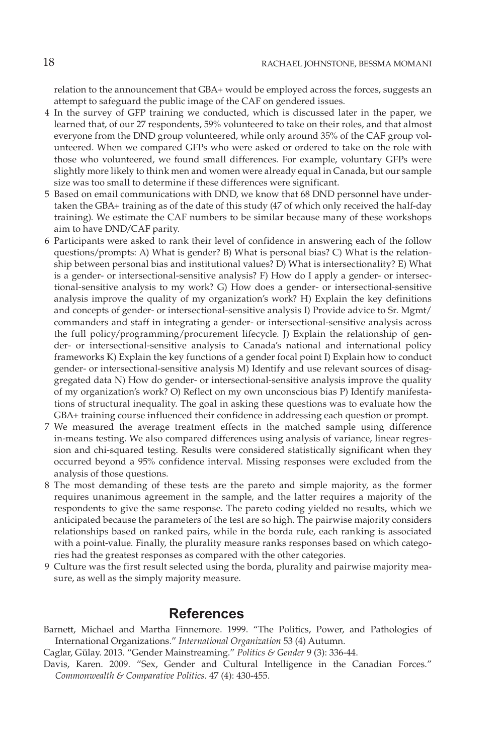relation to the announcement that GBA+ would be employed across the forces, suggests an attempt to safeguard the public image of the CAF on gendered issues.

- 4 In the survey of GFP training we conducted, which is discussed later in the paper, we learned that, of our 27 respondents, 59% volunteered to take on their roles, and that almost everyone from the DND group volunteered, while only around 35% of the CAF group volunteered. When we compared GFPs who were asked or ordered to take on the role with those who volunteered, we found small differences. For example, voluntary GFPs were slightly more likely to think men and women were already equal in Canada, but our sample size was too small to determine if these differences were significant.
- 5 Based on email communications with DND, we know that 68 DND personnel have undertaken the GBA+ training as of the date of this study (47 of which only received the half-day training). We estimate the CAF numbers to be similar because many of these workshops aim to have DND/CAF parity.
- 6 Participants were asked to rank their level of confidence in answering each of the follow questions/prompts: A) What is gender? B) What is personal bias? C) What is the relationship between personal bias and institutional values? D) What is intersectionality? E) What is a gender- or intersectional-sensitive analysis? F) How do I apply a gender- or intersectional-sensitive analysis to my work? G) How does a gender- or intersectional-sensitive analysis improve the quality of my organization's work? H) Explain the key definitions and concepts of gender- or intersectional-sensitive analysis I) Provide advice to Sr. Mgmt/ commanders and staff in integrating a gender- or intersectional-sensitive analysis across the full policy/programming/procurement lifecycle. J) Explain the relationship of gender- or intersectional-sensitive analysis to Canada's national and international policy frameworks K) Explain the key functions of a gender focal point I) Explain how to conduct gender- or intersectional-sensitive analysis M) Identify and use relevant sources of disaggregated data N) How do gender- or intersectional-sensitive analysis improve the quality of my organization's work? O) Reflect on my own unconscious bias P) Identify manifestations of structural inequality. The goal in asking these questions was to evaluate how the GBA+ training course influenced their confidence in addressing each question or prompt.
- 7 We measured the average treatment effects in the matched sample using difference in-means testing. We also compared differences using analysis of variance, linear regression and chi-squared testing. Results were considered statistically significant when they occurred beyond a 95% confidence interval. Missing responses were excluded from the analysis of those questions.
- 8 The most demanding of these tests are the pareto and simple majority, as the former requires unanimous agreement in the sample, and the latter requires a majority of the respondents to give the same response. The pareto coding yielded no results, which we anticipated because the parameters of the test are so high. The pairwise majority considers relationships based on ranked pairs, while in the borda rule, each ranking is associated with a point-value. Finally, the plurality measure ranks responses based on which categories had the greatest responses as compared with the other categories.
- 9 Culture was the first result selected using the borda, plurality and pairwise majority measure, as well as the simply majority measure.

### **References**

Barnett, Michael and Martha Finnemore. 1999. "The Politics, Power, and Pathologies of International Organizations." *International Organization* 53 (4) Autumn.

Caglar, Gülay. 2013. "Gender Mainstreaming." *Politics & Gender* 9 (3): 336-44.

Davis, Karen. 2009. "Sex, Gender and Cultural Intelligence in the Canadian Forces." *Commonwealth & Comparative Politics.* 47 (4): 430-455.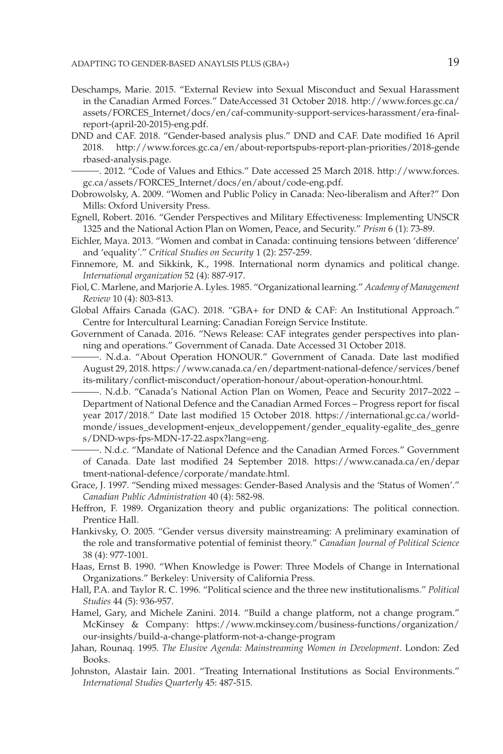- Deschamps, Marie. 2015. "External Review into Sexual Misconduct and Sexual Harassment in the Canadian Armed Forces." DateAccessed 31 October 2018. [http://www.forces.gc.ca/](http://www.forces.gc.ca/assets/FORCES_Internet/docs/en/caf-community-support-services-harassment/era-final-report-(april-20-2015)-eng.pdf) [assets/FORCES\\_Internet/docs/en/caf-community-support-services-harassment/era-final](http://www.forces.gc.ca/assets/FORCES_Internet/docs/en/caf-community-support-services-harassment/era-final-report-(april-20-2015)-eng.pdf)[report-\(april-20-2015\)-eng.pdf.](http://www.forces.gc.ca/assets/FORCES_Internet/docs/en/caf-community-support-services-harassment/era-final-report-(april-20-2015)-eng.pdf)
- DND and CAF. 2018. "Gender-based analysis plus." DND and CAF. Date modified 16 April 2018. [http://www.forces.gc.ca/en/about-reportspubs-report-plan-priorities/2018-gende](http://www.forces.gc.ca/en/about-reportspubs-report-plan-priorities/2018-genderbased-analysis.page) [rbased-analysis.page](http://www.forces.gc.ca/en/about-reportspubs-report-plan-priorities/2018-genderbased-analysis.page).<br>- 2012. "Code of Values and Ethics." Date accessed 25 March 2018. [http://www.forces.](http://www.forces.gc.ca/assets/FORCES_Internet/docs/en/about/code-eng.pdf)

[gc.ca/assets/FORCES\\_Internet/docs/en/about/code-eng.pdf.](http://www.forces.gc.ca/assets/FORCES_Internet/docs/en/about/code-eng.pdf)

- Dobrowolsky, A. 2009. "Women and Public Policy in Canada: Neo-liberalism and After?" Don Mills: Oxford University Press.
- Egnell, Robert. 2016. "Gender Perspectives and Military Effectiveness: Implementing UNSCR 1325 and the National Action Plan on Women, Peace, and Security." *Prism* 6 (1): 73-89.
- Eichler, Maya. 2013. "Women and combat in Canada: continuing tensions between 'difference' and 'equality*'*." *Critical Studies on Security* 1 (2): 257-259.
- Finnemore, M. and Sikkink, K., 1998. International norm dynamics and political change. *International organization* 52 (4): 887-917.
- Fiol, C. Marlene, and Marjorie A. Lyles. 1985. "Organizational learning." *Academy of Management Review* 10 (4): 803-813.
- Global Affairs Canada (GAC). 2018. "GBA+ for DND & CAF: An Institutional Approach." Centre for Intercultural Learning: Canadian Foreign Service Institute.
- Government of Canada. 2016. "News Release: CAF integrates gender perspectives into planning and operations." Government of Canada. Date Accessed 31 October 2018.<br>- . N.d.a. "About Operation HONOUR." Government of Canada. Date last modified
	- August 29, 2018. [https://www.canada.ca/en/department-national-defence/services/benef](https://www.canada.ca/en/department-national-defence/services/benefits-military/conflict-misconduct/operation-honour/about-operation-honour.html) [its-military/conflict-misconduct/operation-honour/about-operation-honour.html.](https://www.canada.ca/en/department-national-defence/services/benefits-military/conflict-misconduct/operation-honour/about-operation-honour.html) . N.d.b. "Canada's National Action Plan on Women, Peace and Security 2017–2022 –

Department of National Defence and the Canadian Armed Forces – Progress report for fiscal year 2017/2018." Date last modified 15 October 2018. [https://international.gc.ca/world](https://international.gc.ca/world-monde/issues_development-enjeux_developpement/gender_equality-egalite_des_genres/DND-wps-fps-MDN-17-22.aspx?lang=eng)[monde/issues\\_development-enjeux\\_developpement/gender\\_equality-egalite\\_des\\_genre](https://international.gc.ca/world-monde/issues_development-enjeux_developpement/gender_equality-egalite_des_genres/DND-wps-fps-MDN-17-22.aspx?lang=eng) [s/DND-wps-fps-MDN-17-22.aspx?lang=eng](https://international.gc.ca/world-monde/issues_development-enjeux_developpement/gender_equality-egalite_des_genres/DND-wps-fps-MDN-17-22.aspx?lang=eng).<br>- N.d.c. "Mandate of National Defence and the Canadian Armed Forces." Government

of Canada. Date last modified 24 September 2018. [https://www.canada.ca/en/depar](https://www.canada.ca/en/department-national-defence/corporate/mandate.html) [tment-national-defence/corporate/mandate.html.](https://www.canada.ca/en/department-national-defence/corporate/mandate.html)

- Grace, J. 1997. "Sending mixed messages: Gender-Based Analysis and the 'Status of Women'." *Canadian Public Administration* 40 (4): 582-98.
- Heffron, F. 1989. Organization theory and public organizations: The political connection. Prentice Hall.
- Hankivsky, O. 2005. "Gender versus diversity mainstreaming: A preliminary examination of the role and transformative potential of feminist theory." *Canadian Journal of Political Science* 38 (4): 977-1001.
- Haas, Ernst B. 1990. "When Knowledge is Power: Three Models of Change in International Organizations." Berkeley: University of California Press.
- Hall, P.A. and Taylor R. C. 1996. "Political science and the three new institutionalisms." *Political Studies* 44 (5): 936-957.
- Hamel, Gary, and Michele Zanini. 2014. "Build a change platform, not a change program." McKinsey & Company: [https://www.mckinsey.com/business-functions/organization/](https://www.mckinsey.com/business-functions/organization/our-insights/build-a-change-platform-not-a-change-program) [our-insights/build-a-change-platform-not-a-change-program](https://www.mckinsey.com/business-functions/organization/our-insights/build-a-change-platform-not-a-change-program)
- Jahan, Rounaq. 1995. *The Elusive Agenda: Mainstreaming Women in Development*. London: Zed Books.
- Johnston, Alastair Iain. 2001. "Treating International Institutions as Social Environments." *International Studies Quarterly* 45: 487-515.